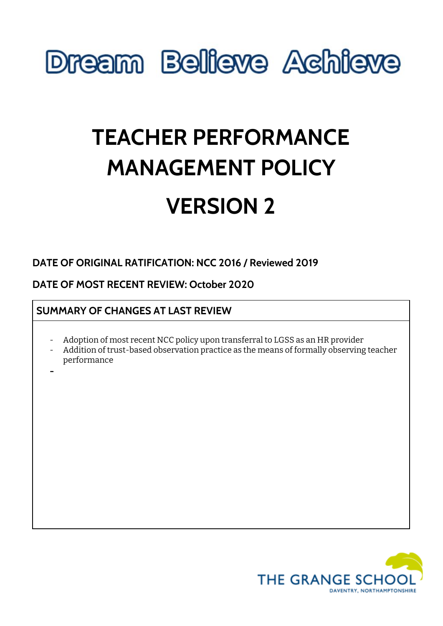

# **TEACHER PERFORMANCE MANAGEMENT POLICY VERSION 2**

# **DATE OF ORIGINAL RATIFICATION: NCC 2016 / Reviewed 2019**

# **DATE OF MOST RECENT REVIEW: October 2020**

# **SUMMARY OF CHANGES AT LAST REVIEW**

- Adoption of most recent NCC policy upon transferral to LGSS as an HR provider
- Addition of trust-based observation practice as the means of formally observing teacher performance
- **-**

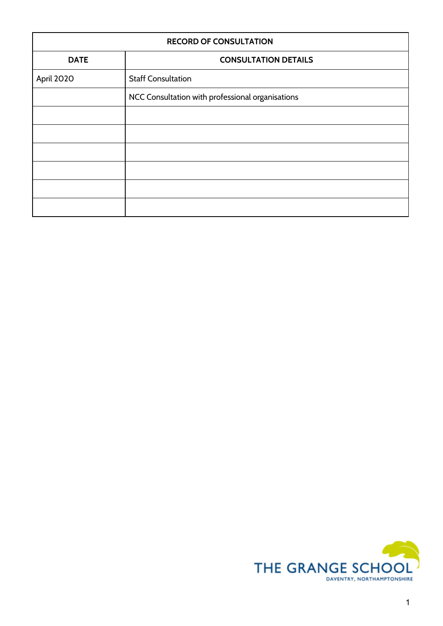| <b>RECORD OF CONSULTATION</b> |                                                  |
|-------------------------------|--------------------------------------------------|
| <b>DATE</b>                   | <b>CONSULTATION DETAILS</b>                      |
| April 2020                    | <b>Staff Consultation</b>                        |
|                               | NCC Consultation with professional organisations |
|                               |                                                  |
|                               |                                                  |
|                               |                                                  |
|                               |                                                  |
|                               |                                                  |
|                               |                                                  |

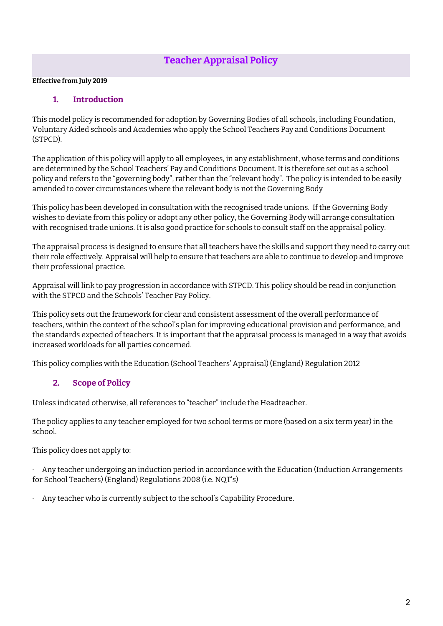# **Teacher Appraisal Policy**

#### **Effective from July 2019**

# **1. Introduction**

This model policy is recommended for adoption by Governing Bodies of all schools, including Foundation, Voluntary Aided schools and Academies who apply the School Teachers Pay and Conditions Document (STPCD).

The application of this policy will apply to all employees, in any establishment, whose terms and conditions are determined by the School Teachers' Pay and Conditions Document. It is therefore set out as a school policy and refers to the "governing body", rather than the "relevant body". The policy is intended to be easily amended to cover circumstances where the relevant body is not the Governing Body

This policy has been developed in consultation with the recognised trade unions. If the Governing Body wishes to deviate from this policy or adopt any other policy, the Governing Body will arrange consultation with recognised trade unions. It is also good practice for schools to consult staff on the appraisal policy.

The appraisal process is designed to ensure that all teachers have the skills and support they need to carry out their role effectively. Appraisal will help to ensure that teachers are able to continue to develop and improve their professional practice.

Appraisal will link to pay progression in accordance with STPCD. This policy should be read in conjunction with the STPCD and the Schools' Teacher Pay Policy.

This policy sets out the framework for clear and consistent assessment of the overall performance of teachers, within the context of the school's plan for improving educational provision and performance, and the standards expected of teachers. It is important that the appraisal process is managed in a way that avoids increased workloads for all parties concerned.

This policy complies with the Education (School Teachers' Appraisal) (England) Regulation 2012

# **2. Scope of Policy**

Unless indicated otherwise, all references to "teacher" include the Headteacher.

The policy applies to any teacher employed for two school terms or more (based on a six term year) in the school.

This policy does not apply to:

Any teacher undergoing an induction period in accordance with the Education (Induction Arrangements for School Teachers) (England) Regulations 2008 (i.e. NQT's)

Any teacher who is currently subject to the school's Capability Procedure.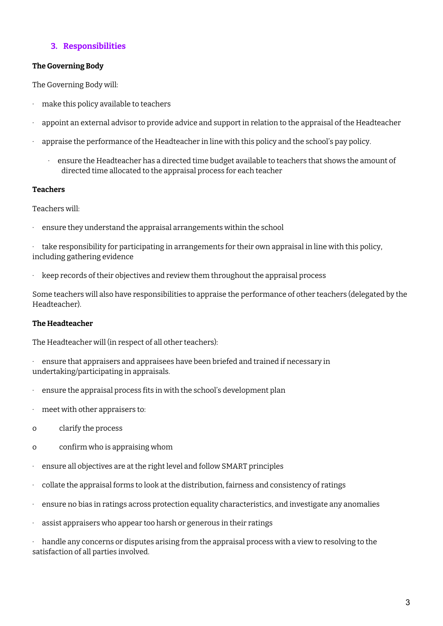# **3. Responsibilities**

#### **The Governing Body**

The Governing Body will:

- · make this policy available to teachers
- · appoint an external advisor to provide advice and support in relation to the appraisal of the Headteacher
- · appraise the performance of the Headteacher in line with this policy and the school's pay policy.
	- · ensure the Headteacher has a directed time budget available to teachers that shows the amount of directed time allocated to the appraisal process for each teacher

#### **Teachers**

Teachers will:

· ensure they understand the appraisal arrangements within the school

take responsibility for participating in arrangements for their own appraisal in line with this policy, including gathering evidence

· keep records of their objectives and review them throughout the appraisal process

Some teachers will also have responsibilities to appraise the performance of other teachers (delegated by the Headteacher).

#### **The Headteacher**

The Headteacher will (in respect of all other teachers):

· ensure that appraisers and appraisees have been briefed and trained if necessary in undertaking/participating in appraisals.

- ensure the appraisal process fits in with the school's development plan
- · meet with other appraisers to:
- o clarify the process
- o confirm who is appraising whom
- ensure all objectives are at the right level and follow SMART principles
- · collate the appraisal forms to look at the distribution, fairness and consistency of ratings
- ensure no bias in ratings across protection equality characteristics, and investigate any anomalies
- · assist appraisers who appear too harsh or generous in their ratings

handle any concerns or disputes arising from the appraisal process with a view to resolving to the satisfaction of all parties involved.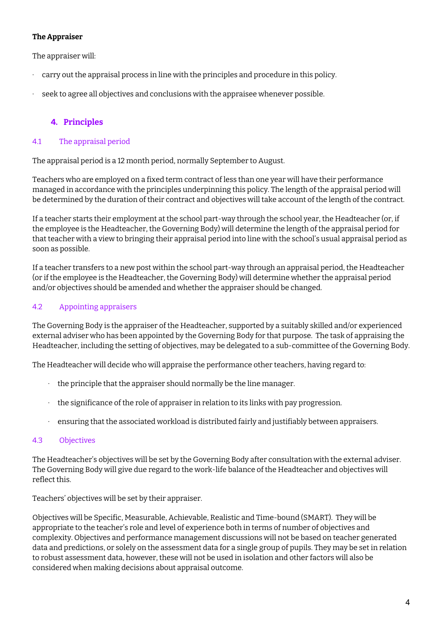# **The Appraiser**

The appraiser will:

- · carry out the appraisal process in line with the principles and procedure in this policy.
- · seek to agree all objectives and conclusions with the appraisee whenever possible.

# **4. Principles**

# 4.1 The appraisal period

The appraisal period is a 12 month period, normally September to August.

Teachers who are employed on a fixed term contract of less than one year will have their performance managed in accordance with the principles underpinning this policy. The length of the appraisal period will be determined by the duration of their contract and objectives will take account of the length of the contract.

If a teacher starts their employment at the school part-way through the school year, the Headteacher (or, if the employee is the Headteacher, the Governing Body) will determine the length of the appraisal period for that teacher with a view to bringing their appraisal period into line with the school's usual appraisal period as soon as possible.

If a teacher transfers to a new post within the school part-way through an appraisal period, the Headteacher (or if the employee is the Headteacher, the Governing Body) will determine whether the appraisal period and/or objectives should be amended and whether the appraiser should be changed.

# 4.2 Appointing appraisers

The Governing Body is the appraiser of the Headteacher, supported by a suitably skilled and/or experienced external adviser who has been appointed by the Governing Body for that purpose. The task of appraising the Headteacher, including the setting of objectives, may be delegated to a sub-committee of the Governing Body.

The Headteacher will decide who will appraise the performance other teachers, having regard to:

- $\cdot$  the principle that the appraiser should normally be the line manager.
- · the significance of the role of appraiser in relation to its links with pay progression.
- · ensuring that the associated workload is distributed fairly and justifiably between appraisers.

# 4.3 Objectives

The Headteacher's objectives will be set by the Governing Body after consultation with the external adviser. The Governing Body will give due regard to the work-life balance of the Headteacher and objectives will reflect this.

Teachers' objectives will be set by their appraiser.

Objectives will be Specific, Measurable, Achievable, Realistic and Time-bound (SMART). They will be appropriate to the teacher's role and level of experience both in terms of number of objectives and complexity. Objectives and performance management discussions will not be based on teacher generated data and predictions, or solely on the assessment data for a single group of pupils. They may be set in relation to robust assessment data, however, these will not be used in isolation and other factors will also be considered when making decisions about appraisal outcome.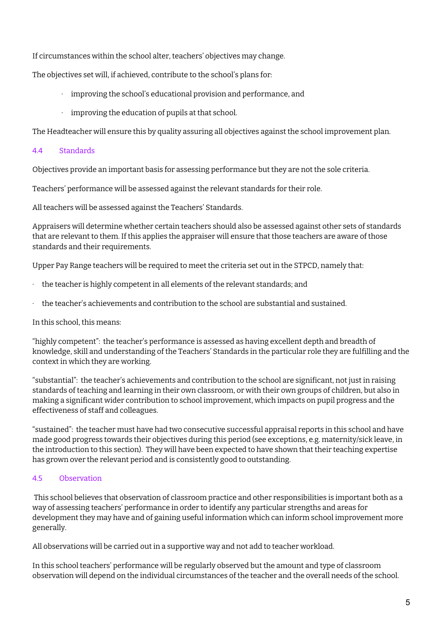If circumstances within the school alter, teachers' objectives may change.

The objectives set will, if achieved, contribute to the school's plans for:

- · improving the school's educational provision and performance, and
- · improving the education of pupils at that school.

The Headteacher will ensure this by quality assuring all objectives against the school improvement plan.

#### 4.4 Standards

Objectives provide an important basis for assessing performance but they are not the sole criteria.

Teachers' performance will be assessed against the relevant standards for their role.

All teachers will be assessed against the Teachers' Standards.

Appraisers will determine whether certain teachers should also be assessed against other sets of standards that are relevant to them. If this applies the appraiser will ensure that those teachers are aware of those standards and their requirements.

Upper Pay Range teachers will be required to meet the criteria set out in the STPCD, namely that:

- the teacher is highly competent in all elements of the relevant standards; and
- · the teacher's achievements and contribution to the school are substantial and sustained.

In this school, this means:

"highly competent": the teacher's performance is assessed as having excellent depth and breadth of knowledge, skill and understanding of the Teachers' Standards in the particular role they are fulfilling and the context in which they are working.

"substantial": the teacher's achievements and contribution to the school are significant, not just in raising standards of teaching and learning in their own classroom, or with their own groups of children, but also in making a significant wider contribution to school improvement, which impacts on pupil progress and the effectiveness of staff and colleagues.

"sustained": the teacher must have had two consecutive successful appraisal reports in this school and have made good progress towards their objectives during this period (see exceptions, e.g. maternity/sick leave, in the introduction to this section). They will have been expected to have shown that their teaching expertise has grown over the relevant period and is consistently good to outstanding.

# 4.5 Observation

This school believes that observation of classroom practice and other responsibilities is important both as a way of assessing teachers' performance in order to identify any particular strengths and areas for development they may have and of gaining useful information which can inform school improvement more generally.

All observations will be carried out in a supportive way and not add to teacher workload.

In this school teachers' performance will be regularly observed but the amount and type of classroom observation will depend on the individual circumstances of the teacher and the overall needs of the school.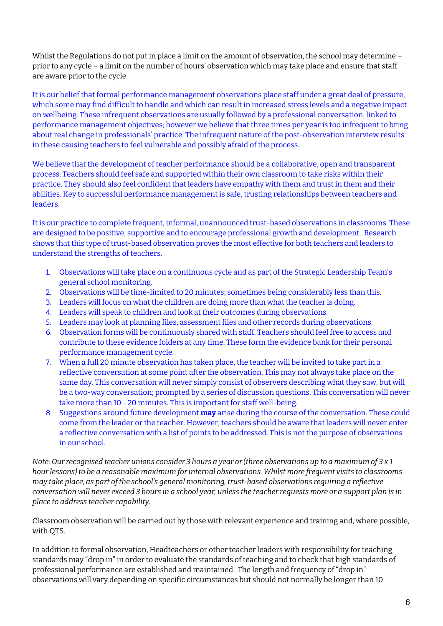Whilst the Regulations do not put in place a limit on the amount of observation, the school may determine – prior to any cycle – a limit on the number of hours' observation which may take place and ensure that staff are aware prior to the cycle.

It is our belief that formal performance management observations place staff under a great deal of pressure, which some may find difficult to handle and which can result in increased stress levels and a negative impact on wellbeing. These infrequent observations are usually followed by a professional conversation, linked to performance management objectives; however we believe that three times per year is too infrequent to bring about real change in professionals' practice. The infrequent nature of the post-observation interview results in these causing teachers to feel vulnerable and possibly afraid of the process.

We believe that the development of teacher performance should be a collaborative, open and transparent process. Teachers should feel safe and supported within their own classroom to take risks within their practice. They should also feel confident that leaders have empathy with them and trust in them and their abilities. Key to successful performance management is safe, trusting relationships between teachers and leaders.

It is our practice to complete frequent, informal, unannounced trust-based observations in classrooms. These are designed to be positive, supportive and to encourage professional growth and development. Research shows that this type of trust-based observation proves the most effective for both teachers and leaders to understand the strengths of teachers.

- 1. Observations will take place on a continuous cycle and as part of the Strategic Leadership Team's general school monitoring.
- 2. Observations will be time-limited to 20 minutes; sometimes being considerably less than this.
- 3. Leaders will focus on what the children are doing more than what the teacher is doing.
- 4. Leaders will speak to children and look at their outcomes during observations.
- 5. Leaders may look at planning files, assessment files and other records during observations.
- 6. Observation forms will be continuously shared with staff. Teachers should feel free to access and contribute to these evidence folders at any time. These form the evidence bank for their personal performance management cycle.
- 7. When a full 20 minute observation has taken place, the teacher will be invited to take part in a reflective conversation at some point after the observation. This may not always take place on the same day. This conversation will never simply consist of observers describing what they saw, but will be a two-way conversation; prompted by a series of discussion questions. This conversation will never take more than 10 - 20 minutes. This is important for staff well-being.
- 8. Suggestions around future development **may** arise during the course of the conversation. These could come from the leader or the teacher. However, teachers should be aware that leaders will never enter a reflective conversation with a list of points to be addressed. This is not the purpose of observations in our school.

Note: Our recognised teacher unions consider 3 hours a year or (three observations up to a maximum of  $3 \times 1$ *hour lessons) to be a reasonable maximum for internal observations. Whilst more frequent visits to classrooms may take place, as part of the school's general monitoring, trust-based observations requiring a reflective* conversation will never exceed 3 hours in a school year, unless the teacher requests more or a support plan is in *place to address teacher capability.*

Classroom observation will be carried out by those with relevant experience and training and, where possible, with QTS.

In addition to formal observation, Headteachers or other teacher leaders with responsibility for teaching standards may "drop in" in order to evaluate the standards of teaching and to check that high standards of professional performance are established and maintained. The length and frequency of "drop in" observations will vary depending on specific circumstances but should not normally be longer than 10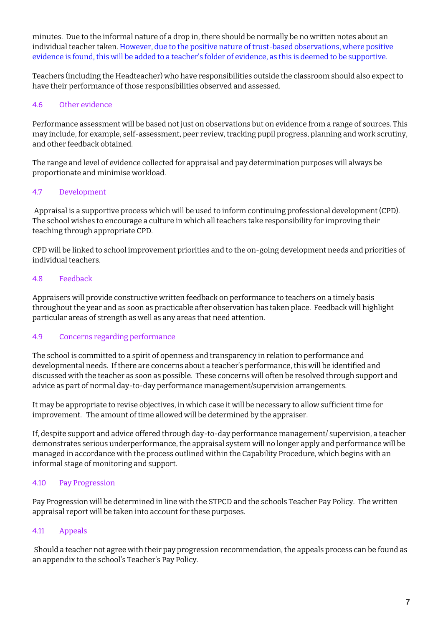minutes. Due to the informal nature of a drop in, there should be normally be no written notes about an individual teacher taken. However, due to the positive nature of trust-based observations, where positive evidence is found, this will be added to a teacher's folder of evidence, as this is deemed to be supportive.

Teachers (including the Headteacher) who have responsibilities outside the classroom should also expect to have their performance of those responsibilities observed and assessed.

#### 4.6 Other evidence

Performance assessment will be based not just on observations but on evidence from a range of sources. This may include, for example, self-assessment, peer review, tracking pupil progress, planning and work scrutiny, and other feedback obtained.

The range and level of evidence collected for appraisal and pay determination purposes will always be proportionate and minimise workload.

#### 4.7 Development

Appraisal is a supportive process which will be used to inform continuing professional development (CPD). The school wishes to encourage a culture in which all teachers take responsibility for improving their teaching through appropriate CPD.

CPD will be linked to school improvement priorities and to the on-going development needs and priorities of individual teachers.

#### 4.8 Feedback

Appraisers will provide constructive written feedback on performance to teachers on a timely basis throughout the year and as soon as practicable after observation has taken place. Feedback will highlight particular areas of strength as well as any areas that need attention.

# 4.9 Concerns regarding performance

The school is committed to a spirit of openness and transparency in relation to performance and developmental needs. If there are concerns about a teacher's performance, this will be identified and discussed with the teacher as soon as possible. These concerns will often be resolved through support and advice as part of normal day-to-day performance management/supervision arrangements.

It may be appropriate to revise objectives, in which case it will be necessary to allow sufficient time for improvement. The amount of time allowed will be determined by the appraiser.

If, despite support and advice offered through day-to-day performance management/ supervision, a teacher demonstrates serious underperformance, the appraisal system will no longer apply and performance will be managed in accordance with the process outlined within the Capability Procedure, which begins with an informal stage of monitoring and support.

# 4.10 Pay Progression

Pay Progression will be determined in line with the STPCD and the schools Teacher Pay Policy. The written appraisal report will be taken into account for these purposes.

# 4.11 Appeals

Should a teacher not agree with their pay progression recommendation, the appeals process can be found as an appendix to the school's Teacher's Pay Policy.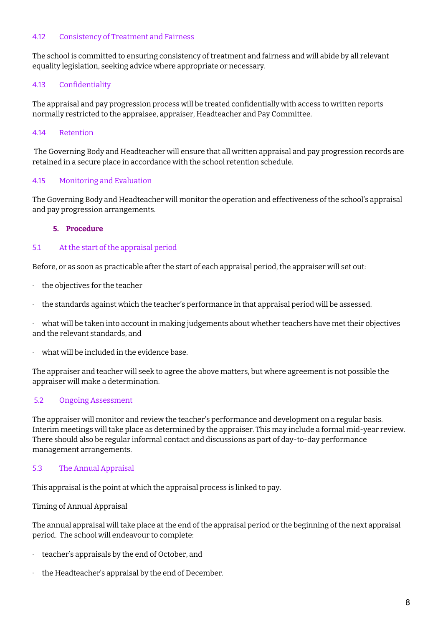#### 4.12 Consistency of Treatment and Fairness

The school is committed to ensuring consistency of treatment and fairness and will abide by all relevant equality legislation, seeking advice where appropriate or necessary.

### 4.13 Confidentiality

The appraisal and pay progression process will be treated confidentially with access to written reports normally restricted to the appraisee, appraiser, Headteacher and Pay Committee.

#### 4.14 Retention

The Governing Body and Headteacher will ensure that all written appraisal and pay progression records are retained in a secure place in accordance with the school retention schedule.

#### 4.15 Monitoring and Evaluation

The Governing Body and Headteacher will monitor the operation and effectiveness of the school's appraisal and pay progression arrangements.

#### **5. Procedure**

#### 5.1 At the start of the appraisal period

Before, or as soon as practicable after the start of each appraisal period, the appraiser will set out:

- · the objectives for the teacher
- $\cdot$  the standards against which the teacher's performance in that appraisal period will be assessed.

· what will be taken into account in making judgements about whether teachers have met their objectives and the relevant standards, and

what will be included in the evidence base.

The appraiser and teacher will seek to agree the above matters, but where agreement is not possible the appraiser will make a determination.

#### 5.2 Ongoing Assessment

The appraiser will monitor and review the teacher's performance and development on a regular basis. Interim meetings will take place as determined by the appraiser. This may include a formal mid-year review. There should also be regular informal contact and discussions as part of day-to-day performance management arrangements.

#### 5.3 The Annual Appraisal

This appraisal is the point at which the appraisal process is linked to pay.

Timing of Annual Appraisal

The annual appraisal will take place at the end of the appraisal period or the beginning of the next appraisal period. The school will endeavour to complete:

- teacher's appraisals by the end of October, and
- the Headteacher's appraisal by the end of December.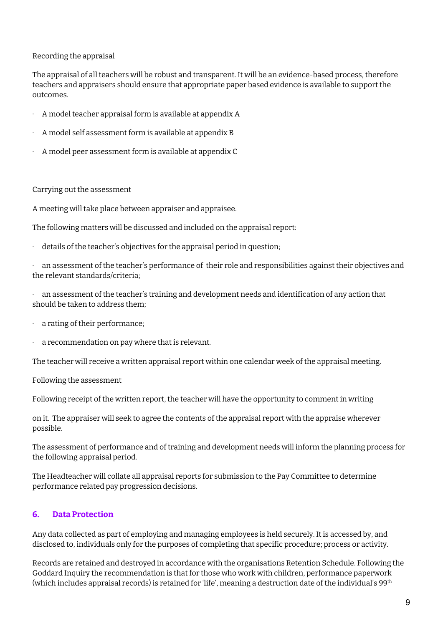#### Recording the appraisal

The appraisal of all teachers will be robust and transparent. It will be an evidence-based process, therefore teachers and appraisers should ensure that appropriate paper based evidence is available to support the outcomes.

- · A model teacher appraisal form is available at appendix A
- · A model self assessment form is available at appendix B
- · A model peer assessment form is available at appendix C

#### Carrying out the assessment

A meeting will take place between appraiser and appraisee.

The following matters will be discussed and included on the appraisal report:

 $\cdot$  details of the teacher's objectives for the appraisal period in question;

· an assessment of the teacher's performance of their role and responsibilities against their objectives and the relevant standards/criteria;

· an assessment of the teacher's training and development needs and identification of any action that should be taken to address them;

- · a rating of their performance;
- · a recommendation on pay where that is relevant.

The teacher will receive a written appraisal report within one calendar week of the appraisal meeting.

Following the assessment

Following receipt of the written report, the teacher will have the opportunity to comment in writing

on it. The appraiser will seek to agree the contents of the appraisal report with the appraise wherever possible.

The assessment of performance and of training and development needs will inform the planning process for the following appraisal period.

The Headteacher will collate all appraisal reports for submission to the Pay Committee to determine performance related pay progression decisions.

# **6. Data Protection**

Any data collected as part of employing and managing employees is held securely. It is accessed by, and disclosed to, individuals only for the purposes of completing that specific procedure; process or activity.

Records are retained and destroyed in accordance with the organisations Retention Schedule. Following the Goddard Inquiry the recommendation is that for those who work with children, performance paperwork (which includes appraisal records) is retained for 'life', meaning a destruction date of the individual's 99 $^{\rm th}$